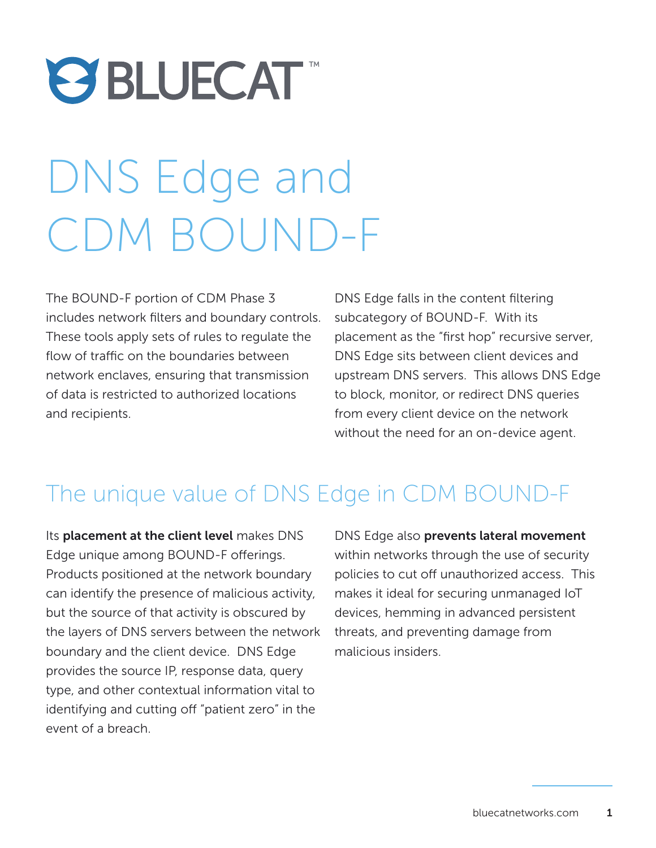# **OBLUECAT**

## DNS Edge and CDM BOUND-F

The BOUND-F portion of CDM Phase 3 includes network filters and boundary controls. These tools apply sets of rules to regulate the flow of traffic on the boundaries between network enclaves, ensuring that transmission of data is restricted to authorized locations and recipients.

DNS Edge falls in the content filtering subcategory of BOUND-F. With its placement as the "first hop" recursive server, DNS Edge sits between client devices and upstream DNS servers. This allows DNS Edge to block, monitor, or redirect DNS queries from every client device on the network without the need for an on-device agent.

### The unique value of DNS Edge in CDM BOUND-F

Its placement at the client level makes DNS Edge unique among BOUND-F offerings. Products positioned at the network boundary can identify the presence of malicious activity, but the source of that activity is obscured by the layers of DNS servers between the network boundary and the client device. DNS Edge provides the source IP, response data, query type, and other contextual information vital to identifying and cutting off "patient zero" in the event of a breach.

DNS Edge also prevents lateral movement within networks through the use of security policies to cut off unauthorized access. This makes it ideal for securing unmanaged IoT devices, hemming in advanced persistent threats, and preventing damage from malicious insiders.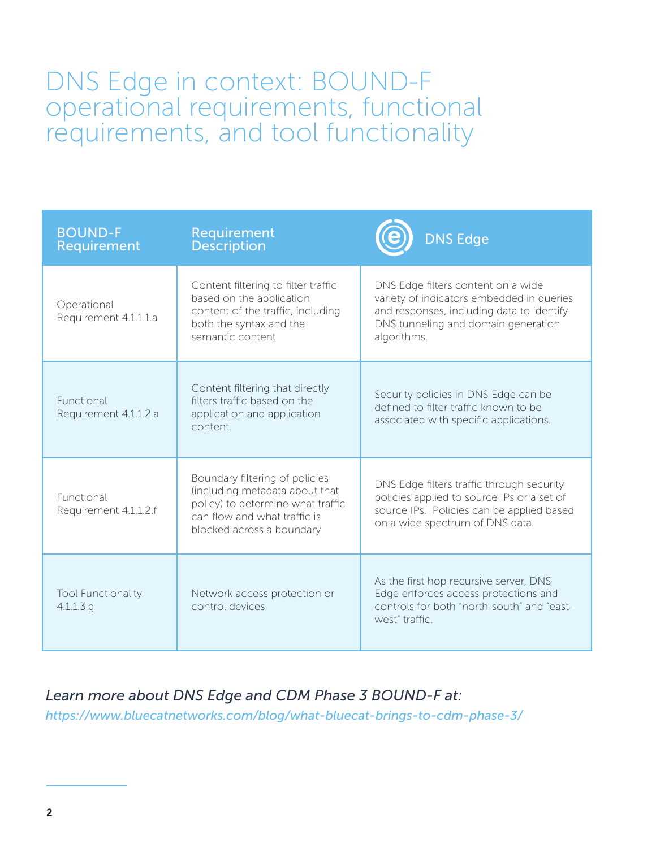#### DNS Edge in context: BOUND-F operational requirements, functional requirements, and tool functionality

| <b>BOUND-F</b><br>Requirement          | Requirement<br><b>Description</b>                                                                                                                                  | <b>DNS Edge</b>                                                                                                                                                                    |
|----------------------------------------|--------------------------------------------------------------------------------------------------------------------------------------------------------------------|------------------------------------------------------------------------------------------------------------------------------------------------------------------------------------|
| Operational<br>Requirement 4.1.1.1.a   | Content filtering to filter traffic<br>based on the application<br>content of the traffic, including<br>both the syntax and the<br>semantic content                | DNS Edge filters content on a wide<br>variety of indicators embedded in queries<br>and responses, including data to identify<br>DNS tunneling and domain generation<br>algorithms. |
| Functional<br>Requirement 4.1.1.2.a    | Content filtering that directly<br>filters traffic based on the<br>application and application<br>content.                                                         | Security policies in DNS Edge can be<br>defined to filter traffic known to be<br>associated with specific applications.                                                            |
| Functional<br>Requirement 4.1.1.2.f    | Boundary filtering of policies<br>(including metadata about that<br>policy) to determine what traffic<br>can flow and what traffic is<br>blocked across a boundary | DNS Edge filters traffic through security<br>policies applied to source IPs or a set of<br>source IPs. Policies can be applied based<br>on a wide spectrum of DNS data.            |
| <b>Tool Functionality</b><br>4.1.1.3.9 | Network access protection or<br>control devices                                                                                                                    | As the first hop recursive server, DNS<br>Edge enforces access protections and<br>controls for both "north-south" and "east-<br>west" traffic.                                     |

#### *Learn more about DNS Edge and CDM Phase 3 BOUND-F at:*

*[https://www.bluecatnetworks.com/blog/what-bluecat-brings-to-cdm-phase-3/](https://www.bluecatnetworks.com/blog/what-bluecat-brings-to-cdm-phase-3/ )*